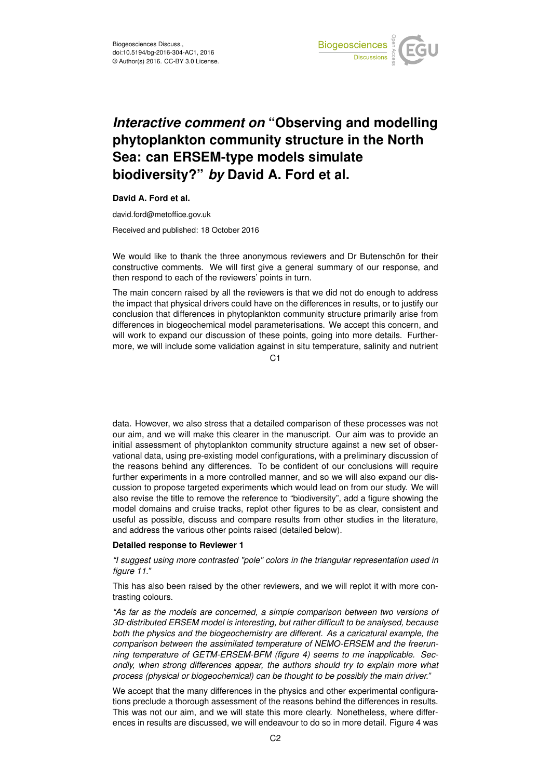

# *Interactive comment on* **"Observing and modelling phytoplankton community structure in the North Sea: can ERSEM-type models simulate biodiversity?"** *by* **David A. Ford et al.**

**David A. Ford et al.**

david.ford@metoffice.gov.uk

Received and published: 18 October 2016

We would like to thank the three anonymous reviewers and Dr Butenschön for their constructive comments. We will first give a general summary of our response, and then respond to each of the reviewers' points in turn.

The main concern raised by all the reviewers is that we did not do enough to address the impact that physical drivers could have on the differences in results, or to justify our conclusion that differences in phytoplankton community structure primarily arise from differences in biogeochemical model parameterisations. We accept this concern, and will work to expand our discussion of these points, going into more details. Furthermore, we will include some validation against in situ temperature, salinity and nutrient

 $C<sub>1</sub>$ 

data. However, we also stress that a detailed comparison of these processes was not our aim, and we will make this clearer in the manuscript. Our aim was to provide an initial assessment of phytoplankton community structure against a new set of observational data, using pre-existing model configurations, with a preliminary discussion of the reasons behind any differences. To be confident of our conclusions will require further experiments in a more controlled manner, and so we will also expand our discussion to propose targeted experiments which would lead on from our study. We will also revise the title to remove the reference to "biodiversity", add a figure showing the model domains and cruise tracks, replot other figures to be as clear, consistent and useful as possible, discuss and compare results from other studies in the literature, and address the various other points raised (detailed below).

#### **Detailed response to Reviewer 1**

*"I suggest using more contrasted "pole" colors in the triangular representation used in figure 11."*

This has also been raised by the other reviewers, and we will replot it with more contrasting colours.

*"As far as the models are concerned, a simple comparison between two versions of 3D-distributed ERSEM model is interesting, but rather difficult to be analysed, because both the physics and the biogeochemistry are different. As a caricatural example, the comparison between the assimilated temperature of NEMO-ERSEM and the freerunning temperature of GETM-ERSEM-BFM (figure 4) seems to me inapplicable. Secondly, when strong differences appear, the authors should try to explain more what process (physical or biogeochemical) can be thought to be possibly the main driver."*

We accept that the many differences in the physics and other experimental configurations preclude a thorough assessment of the reasons behind the differences in results. This was not our aim, and we will state this more clearly. Nonetheless, where differences in results are discussed, we will endeavour to do so in more detail. Figure 4 was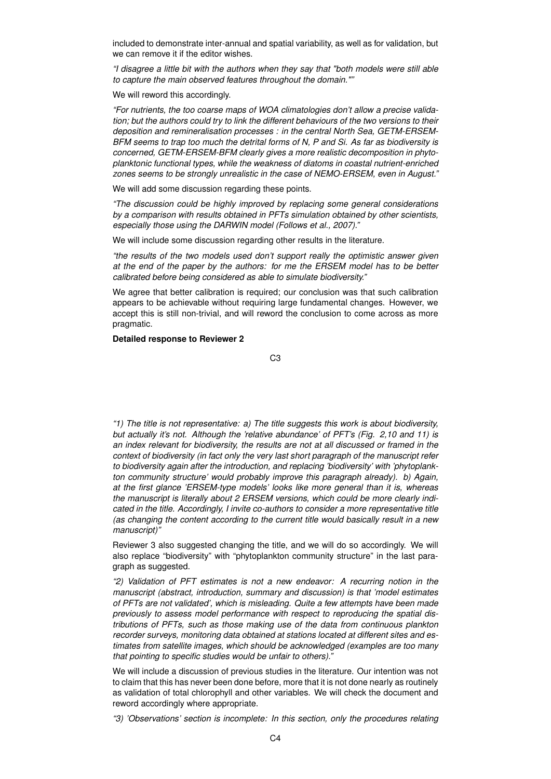included to demonstrate inter-annual and spatial variability, as well as for validation, but we can remove it if the editor wishes.

*"I disagree a little bit with the authors when they say that "both models were still able to capture the main observed features throughout the domain.""*

We will reword this accordingly.

*"For nutrients, the too coarse maps of WOA climatologies don't allow a precise validation; but the authors could try to link the different behaviours of the two versions to their deposition and remineralisation processes : in the central North Sea, GETM-ERSEM-BFM seems to trap too much the detrital forms of N, P and Si. As far as biodiversity is concerned, GETM-ERSEM-BFM clearly gives a more realistic decomposition in phytoplanktonic functional types, while the weakness of diatoms in coastal nutrient-enriched zones seems to be strongly unrealistic in the case of NEMO-ERSEM, even in August."*

We will add some discussion regarding these points.

*"The discussion could be highly improved by replacing some general considerations by a comparison with results obtained in PFTs simulation obtained by other scientists, especially those using the DARWIN model (Follows et al., 2007)."*

We will include some discussion regarding other results in the literature.

*"the results of the two models used don't support really the optimistic answer given at the end of the paper by the authors: for me the ERSEM model has to be better calibrated before being considered as able to simulate biodiversity."*

We agree that better calibration is required; our conclusion was that such calibration appears to be achievable without requiring large fundamental changes. However, we accept this is still non-trivial, and will reword the conclusion to come across as more pragmatic.

**Detailed response to Reviewer 2**

C3

*"1) The title is not representative: a) The title suggests this work is about biodiversity, but actually it's not. Although the 'relative abundance' of PFT's (Fig. 2,10 and 11) is an index relevant for biodiversity, the results are not at all discussed or framed in the context of biodiversity (in fact only the very last short paragraph of the manuscript refer to biodiversity again after the introduction, and replacing 'biodiversity' with 'phytoplankton community structure' would probably improve this paragraph already). b) Again, at the first glance 'ERSEM-type models' looks like more general than it is, whereas the manuscript is literally about 2 ERSEM versions, which could be more clearly indicated in the title. Accordingly, I invite co-authors to consider a more representative title (as changing the content according to the current title would basically result in a new manuscript)"*

Reviewer 3 also suggested changing the title, and we will do so accordingly. We will also replace "biodiversity" with "phytoplankton community structure" in the last paragraph as suggested.

*"2) Validation of PFT estimates is not a new endeavor: A recurring notion in the manuscript (abstract, introduction, summary and discussion) is that 'model estimates of PFTs are not validated', which is misleading. Quite a few attempts have been made previously to assess model performance with respect to reproducing the spatial distributions of PFTs, such as those making use of the data from continuous plankton recorder surveys, monitoring data obtained at stations located at different sites and estimates from satellite images, which should be acknowledged (examples are too many that pointing to specific studies would be unfair to others)."*

We will include a discussion of previous studies in the literature. Our intention was not to claim that this has never been done before, more that it is not done nearly as routinely as validation of total chlorophyll and other variables. We will check the document and reword accordingly where appropriate.

*"3) 'Observations' section is incomplete: In this section, only the procedures relating*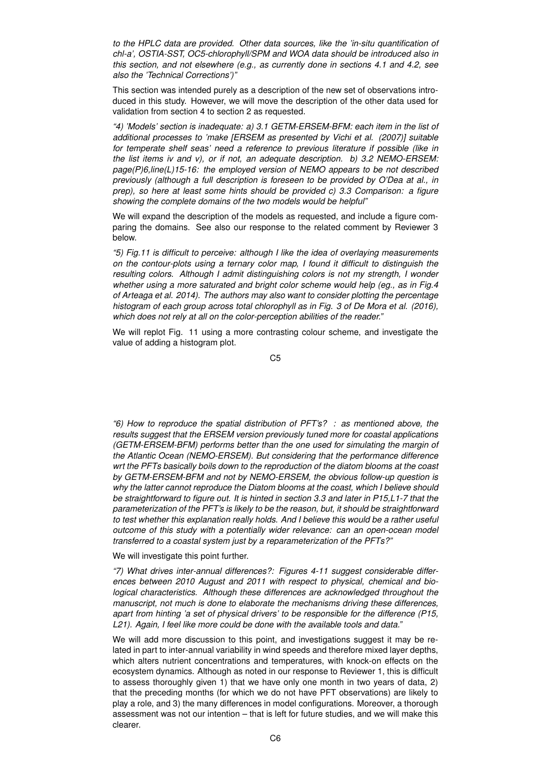*to the HPLC data are provided. Other data sources, like the 'in-situ quantification of chl-a', OSTIA-SST, OC5-chlorophyll/SPM and WOA data should be introduced also in this section, and not elsewhere (e.g., as currently done in sections 4.1 and 4.2, see also the 'Technical Corrections')"*

This section was intended purely as a description of the new set of observations introduced in this study. However, we will move the description of the other data used for validation from section 4 to section 2 as requested.

*"4) 'Models' section is inadequate: a) 3.1 GETM-ERSEM-BFM: each item in the list of additional processes to 'make [ERSEM as presented by Vichi et al. (2007)] suitable for temperate shelf seas' need a reference to previous literature if possible (like in the list items iv and v), or if not, an adequate description. b) 3.2 NEMO-ERSEM: page(P)6,line(L)15-16: the employed version of NEMO appears to be not described previously (although a full description is foreseen to be provided by O'Dea at al., in prep), so here at least some hints should be provided c) 3.3 Comparison: a figure showing the complete domains of the two models would be helpful"*

We will expand the description of the models as requested, and include a figure comparing the domains. See also our response to the related comment by Reviewer 3 below.

*"5) Fig.11 is difficult to perceive: although I like the idea of overlaying measurements on the contour-plots using a ternary color map, I found it difficult to distinguish the resulting colors. Although I admit distinguishing colors is not my strength, I wonder whether using a more saturated and bright color scheme would help (eg., as in Fig.4 of Arteaga et al. 2014). The authors may also want to consider plotting the percentage histogram of each group across total chlorophyll as in Fig. 3 of De Mora et al. (2016), which does not rely at all on the color-perception abilities of the reader."*

We will replot Fig. 11 using a more contrasting colour scheme, and investigate the value of adding a histogram plot.

C5

*"6) How to reproduce the spatial distribution of PFT's? : as mentioned above, the results suggest that the ERSEM version previously tuned more for coastal applications (GETM-ERSEM-BFM) performs better than the one used for simulating the margin of the Atlantic Ocean (NEMO-ERSEM). But considering that the performance difference wrt the PFTs basically boils down to the reproduction of the diatom blooms at the coast by GETM-ERSEM-BFM and not by NEMO-ERSEM, the obvious follow-up question is why the latter cannot reproduce the Diatom blooms at the coast, which I believe should be straightforward to figure out. It is hinted in section 3.3 and later in P15,L1-7 that the parameterization of the PFT's is likely to be the reason, but, it should be straightforward to test whether this explanation really holds. And I believe this would be a rather useful outcome of this study with a potentially wider relevance: can an open-ocean model transferred to a coastal system just by a reparameterization of the PFTs?"*

We will investigate this point further.

*"7) What drives inter-annual differences?: Figures 4-11 suggest considerable differences between 2010 August and 2011 with respect to physical, chemical and biological characteristics. Although these differences are acknowledged throughout the manuscript, not much is done to elaborate the mechanisms driving these differences, apart from hinting 'a set of physical drivers' to be responsible for the difference (P15, L21). Again, I feel like more could be done with the available tools and data."*

We will add more discussion to this point, and investigations suggest it may be related in part to inter-annual variability in wind speeds and therefore mixed layer depths, which alters nutrient concentrations and temperatures, with knock-on effects on the ecosystem dynamics. Although as noted in our response to Reviewer 1, this is difficult to assess thoroughly given 1) that we have only one month in two years of data, 2) that the preceding months (for which we do not have PFT observations) are likely to play a role, and 3) the many differences in model configurations. Moreover, a thorough assessment was not our intention – that is left for future studies, and we will make this clearer.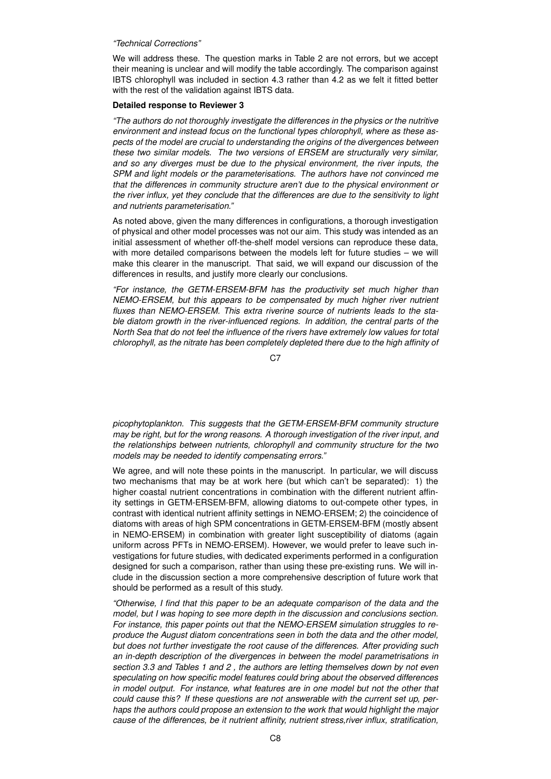### *"Technical Corrections"*

We will address these. The question marks in Table 2 are not errors, but we accept their meaning is unclear and will modify the table accordingly. The comparison against IBTS chlorophyll was included in section 4.3 rather than 4.2 as we felt it fitted better with the rest of the validation against IBTS data.

#### **Detailed response to Reviewer 3**

*"The authors do not thoroughly investigate the differences in the physics or the nutritive environment and instead focus on the functional types chlorophyll, where as these aspects of the model are crucial to understanding the origins of the divergences between these two similar models. The two versions of ERSEM are structurally very similar, and so any diverges must be due to the physical environment, the river inputs, the SPM and light models or the parameterisations. The authors have not convinced me that the differences in community structure aren't due to the physical environment or the river influx, yet they conclude that the differences are due to the sensitivity to light and nutrients parameterisation."*

As noted above, given the many differences in configurations, a thorough investigation of physical and other model processes was not our aim. This study was intended as an initial assessment of whether off-the-shelf model versions can reproduce these data, with more detailed comparisons between the models left for future studies – we will make this clearer in the manuscript. That said, we will expand our discussion of the differences in results, and justify more clearly our conclusions.

*"For instance, the GETM-ERSEM-BFM has the productivity set much higher than NEMO-ERSEM, but this appears to be compensated by much higher river nutrient fluxes than NEMO-ERSEM. This extra riverine source of nutrients leads to the stable diatom growth in the river-influenced regions. In addition, the central parts of the North Sea that do not feel the influence of the rivers have extremely low values for total chlorophyll, as the nitrate has been completely depleted there due to the high affinity of*

C<sub>7</sub>

*picophytoplankton. This suggests that the GETM-ERSEM-BFM community structure may be right, but for the wrong reasons. A thorough investigation of the river input, and the relationships between nutrients, chlorophyll and community structure for the two models may be needed to identify compensating errors."*

We agree, and will note these points in the manuscript. In particular, we will discuss two mechanisms that may be at work here (but which can't be separated): 1) the higher coastal nutrient concentrations in combination with the different nutrient affinity settings in GETM-ERSEM-BFM, allowing diatoms to out-compete other types, in contrast with identical nutrient affinity settings in NEMO-ERSEM; 2) the coincidence of diatoms with areas of high SPM concentrations in GETM-ERSEM-BFM (mostly absent in NEMO-ERSEM) in combination with greater light susceptibility of diatoms (again uniform across PFTs in NEMO-ERSEM). However, we would prefer to leave such investigations for future studies, with dedicated experiments performed in a configuration designed for such a comparison, rather than using these pre-existing runs. We will include in the discussion section a more comprehensive description of future work that should be performed as a result of this study.

*"Otherwise, I find that this paper to be an adequate comparison of the data and the model, but I was hoping to see more depth in the discussion and conclusions section. For instance, this paper points out that the NEMO-ERSEM simulation struggles to reproduce the August diatom concentrations seen in both the data and the other model, but does not further investigate the root cause of the differences. After providing such an in-depth description of the divergences in between the model parametrisations in section 3.3 and Tables 1 and 2 , the authors are letting themselves down by not even speculating on how specific model features could bring about the observed differences in model output. For instance, what features are in one model but not the other that could cause this? If these questions are not answerable with the current set up, perhaps the authors could propose an extension to the work that would highlight the major cause of the differences, be it nutrient affinity, nutrient stress,river influx, stratification,*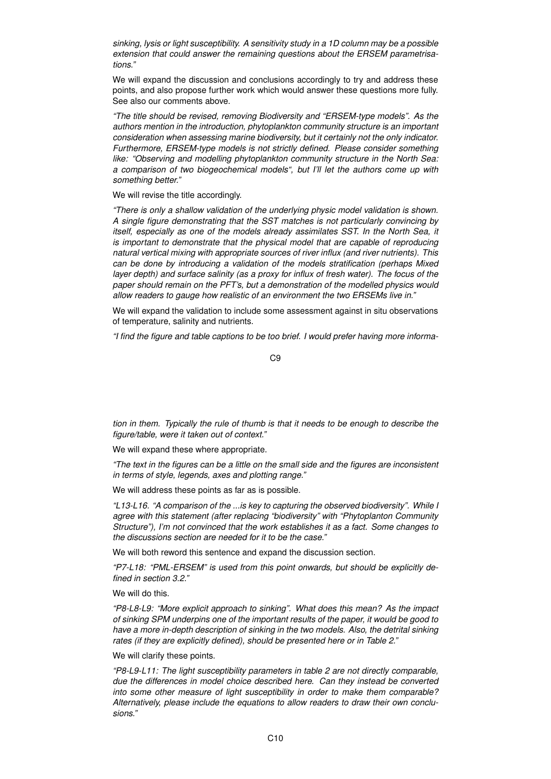*sinking, lysis or light susceptibility. A sensitivity study in a 1D column may be a possible extension that could answer the remaining questions about the ERSEM parametrisations."*

We will expand the discussion and conclusions accordingly to try and address these points, and also propose further work which would answer these questions more fully. See also our comments above.

*"The title should be revised, removing Biodiversity and "ERSEM-type models". As the authors mention in the introduction, phytoplankton community structure is an important consideration when assessing marine biodiversity, but it certainly not the only indicator. Furthermore, ERSEM-type models is not strictly defined. Please consider something like: "Observing and modelling phytoplankton community structure in the North Sea: a comparison of two biogeochemical models", but I'll let the authors come up with something better."*

## We will revise the title accordingly.

*"There is only a shallow validation of the underlying physic model validation is shown. A single figure demonstrating that the SST matches is not particularly convincing by itself, especially as one of the models already assimilates SST. In the North Sea, it is important to demonstrate that the physical model that are capable of reproducing natural vertical mixing with appropriate sources of river influx (and river nutrients). This can be done by introducing a validation of the models stratification (perhaps Mixed layer depth) and surface salinity (as a proxy for influx of fresh water). The focus of the paper should remain on the PFT's, but a demonstration of the modelled physics would allow readers to gauge how realistic of an environment the two ERSEMs live in."*

We will expand the validation to include some assessment against in situ observations of temperature, salinity and nutrients.

*"I find the figure and table captions to be too brief. I would prefer having more informa-*

C9

*tion in them. Typically the rule of thumb is that it needs to be enough to describe the figure/table, were it taken out of context."*

We will expand these where appropriate.

*"The text in the figures can be a little on the small side and the figures are inconsistent in terms of style, legends, axes and plotting range."*

We will address these points as far as is possible.

*"L13-L16. "A comparison of the ...is key to capturing the observed biodiversity". While I agree with this statement (after replacing "biodiversity" with "Phytoplanton Community Structure"), I'm not convinced that the work establishes it as a fact. Some changes to the discussions section are needed for it to be the case."*

We will both reword this sentence and expand the discussion section.

*"P7-L18: "PML-ERSEM" is used from this point onwards, but should be explicitly defined in section 3.2."*

We will do this.

*"P8-L8-L9: "More explicit approach to sinking". What does this mean? As the impact of sinking SPM underpins one of the important results of the paper, it would be good to have a more in-depth description of sinking in the two models. Also, the detrital sinking rates (if they are explicitly defined), should be presented here or in Table 2."*

## We will clarify these points.

*"P8-L9-L11: The light susceptibility parameters in table 2 are not directly comparable, due the differences in model choice described here. Can they instead be converted into some other measure of light susceptibility in order to make them comparable? Alternatively, please include the equations to allow readers to draw their own conclusions."*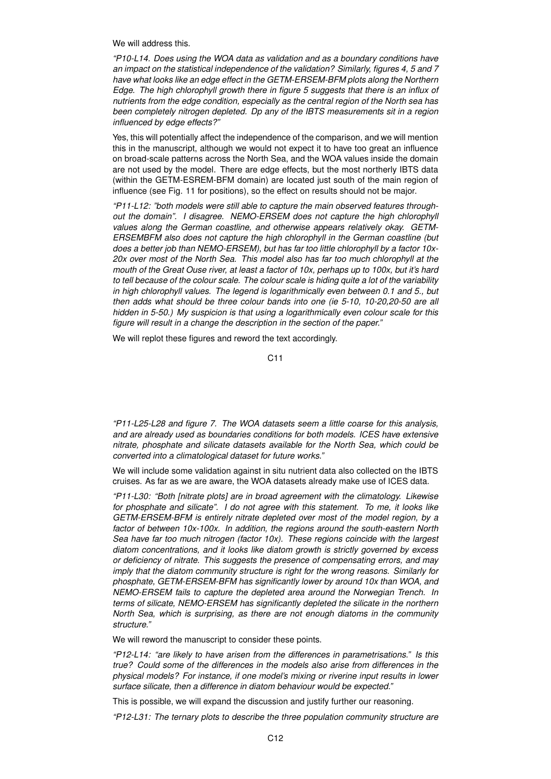We will address this.

*"P10-L14. Does using the WOA data as validation and as a boundary conditions have an impact on the statistical independence of the validation? Similarly, figures 4, 5 and 7 have what looks like an edge effect in the GETM-ERSEM-BFM plots along the Northern Edge. The high chlorophyll growth there in figure 5 suggests that there is an influx of nutrients from the edge condition, especially as the central region of the North sea has been completely nitrogen depleted. Dp any of the IBTS measurements sit in a region influenced by edge effects?"*

Yes, this will potentially affect the independence of the comparison, and we will mention this in the manuscript, although we would not expect it to have too great an influence on broad-scale patterns across the North Sea, and the WOA values inside the domain are not used by the model. There are edge effects, but the most northerly IBTS data (within the GETM-ESREM-BFM domain) are located just south of the main region of influence (see Fig. 11 for positions), so the effect on results should not be major.

*"P11-L12: "both models were still able to capture the main observed features throughout the domain". I disagree. NEMO-ERSEM does not capture the high chlorophyll values along the German coastline, and otherwise appears relatively okay. GETM-ERSEMBFM also does not capture the high chlorophyll in the German coastline (but does a better job than NEMO-ERSEM), but has far too little chlorophyll by a factor 10x-20x over most of the North Sea. This model also has far too much chlorophyll at the mouth of the Great Ouse river, at least a factor of 10x, perhaps up to 100x, but it's hard to tell because of the colour scale. The colour scale is hiding quite a lot of the variability in high chlorophyll values. The legend is logarithmically even between 0.1 and 5., but then adds what should be three colour bands into one (ie 5-10, 10-20,20-50 are all hidden in 5-50.) My suspicion is that using a logarithmically even colour scale for this figure will result in a change the description in the section of the paper."*

We will replot these figures and reword the text accordingly.

C11

*"P11-L25-L28 and figure 7. The WOA datasets seem a little coarse for this analysis, and are already used as boundaries conditions for both models. ICES have extensive nitrate, phosphate and silicate datasets available for the North Sea, which could be converted into a climatological dataset for future works."*

We will include some validation against in situ nutrient data also collected on the IBTS cruises. As far as we are aware, the WOA datasets already make use of ICES data.

*"P11-L30: "Both [nitrate plots] are in broad agreement with the climatology. Likewise for phosphate and silicate". I do not agree with this statement. To me, it looks like GETM-ERSEM-BFM is entirely nitrate depleted over most of the model region, by a factor of between 10x-100x. In addition, the regions around the south-eastern North Sea have far too much nitrogen (factor 10x). These regions coincide with the largest diatom concentrations, and it looks like diatom growth is strictly governed by excess or deficiency of nitrate. This suggests the presence of compensating errors, and may imply that the diatom community structure is right for the wrong reasons. Similarly for phosphate, GETM-ERSEM-BFM has significantly lower by around 10x than WOA, and NEMO-ERSEM fails to capture the depleted area around the Norwegian Trench. In terms of silicate, NEMO-ERSEM has significantly depleted the silicate in the northern North Sea, which is surprising, as there are not enough diatoms in the community structure."*

We will reword the manuscript to consider these points.

*"P12-L14: "are likely to have arisen from the differences in parametrisations." Is this true? Could some of the differences in the models also arise from differences in the physical models? For instance, if one model's mixing or riverine input results in lower surface silicate, then a difference in diatom behaviour would be expected."*

This is possible, we will expand the discussion and justify further our reasoning.

*"P12-L31: The ternary plots to describe the three population community structure are*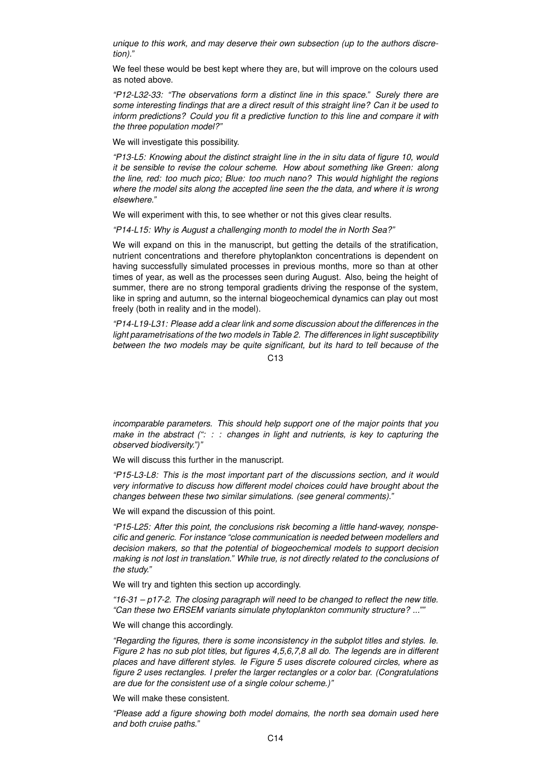*unique to this work, and may deserve their own subsection (up to the authors discretion)."*

We feel these would be best kept where they are, but will improve on the colours used as noted above.

*"P12-L32-33: "The observations form a distinct line in this space." Surely there are some interesting findings that are a direct result of this straight line? Can it be used to inform predictions? Could you fit a predictive function to this line and compare it with the three population model?"*

We will investigate this possibility.

*"P13-L5: Knowing about the distinct straight line in the in situ data of figure 10, would it be sensible to revise the colour scheme. How about something like Green: along the line, red: too much pico; Blue: too much nano? This would highlight the regions where the model sits along the accepted line seen the the data, and where it is wrong elsewhere."*

We will experiment with this, to see whether or not this gives clear results.

*"P14-L15: Why is August a challenging month to model the in North Sea?"*

We will expand on this in the manuscript, but getting the details of the stratification, nutrient concentrations and therefore phytoplankton concentrations is dependent on having successfully simulated processes in previous months, more so than at other times of year, as well as the processes seen during August. Also, being the height of summer, there are no strong temporal gradients driving the response of the system, like in spring and autumn, so the internal biogeochemical dynamics can play out most freely (both in reality and in the model).

*"P14-L19-L31: Please add a clear link and some discussion about the differences in the light parametrisations of the two models in Table 2. The differences in light susceptibility between the two models may be quite significant, but its hard to tell because of the*

 $C<sub>13</sub>$ 

*incomparable parameters. This should help support one of the major points that you make in the abstract (": : : changes in light and nutrients, is key to capturing the observed biodiversity.")"*

We will discuss this further in the manuscript.

*"P15-L3-L8: This is the most important part of the discussions section, and it would very informative to discuss how different model choices could have brought about the changes between these two similar simulations. (see general comments)."*

We will expand the discussion of this point.

*"P15-L25: After this point, the conclusions risk becoming a little hand-wavey, nonspecific and generic. For instance "close communication is needed between modellers and decision makers, so that the potential of biogeochemical models to support decision making is not lost in translation." While true, is not directly related to the conclusions of the study."*

We will try and tighten this section up accordingly.

*"16-31 – p17-2. The closing paragraph will need to be changed to reflect the new title. "Can these two ERSEM variants simulate phytoplankton community structure? ...""*

We will change this accordingly.

*"Regarding the figures, there is some inconsistency in the subplot titles and styles. Ie. Figure 2 has no sub plot titles, but figures 4,5,6,7,8 all do. The legends are in different places and have different styles. Ie Figure 5 uses discrete coloured circles, where as figure 2 uses rectangles. I prefer the larger rectangles or a color bar. (Congratulations are due for the consistent use of a single colour scheme.)"*

We will make these consistent.

*"Please add a figure showing both model domains, the north sea domain used here and both cruise paths."*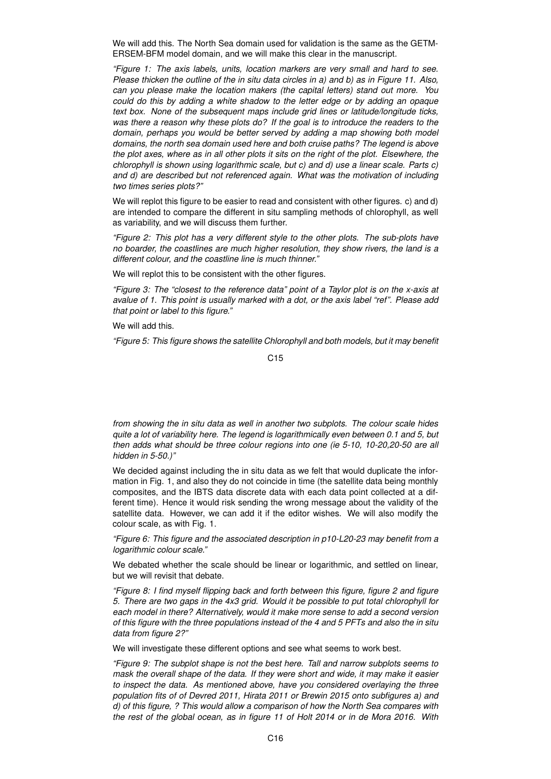We will add this. The North Sea domain used for validation is the same as the GETM-ERSEM-BFM model domain, and we will make this clear in the manuscript.

*"Figure 1: The axis labels, units, location markers are very small and hard to see. Please thicken the outline of the in situ data circles in a) and b) as in Figure 11. Also, can you please make the location makers (the capital letters) stand out more. You could do this by adding a white shadow to the letter edge or by adding an opaque text box. None of the subsequent maps include grid lines or latitude/longitude ticks, was there a reason why these plots do? If the goal is to introduce the readers to the domain, perhaps you would be better served by adding a map showing both model domains, the north sea domain used here and both cruise paths? The legend is above the plot axes, where as in all other plots it sits on the right of the plot. Elsewhere, the chlorophyll is shown using logarithmic scale, but c) and d) use a linear scale. Parts c) and d) are described but not referenced again. What was the motivation of including two times series plots?"*

We will replot this figure to be easier to read and consistent with other figures. c) and d) are intended to compare the different in situ sampling methods of chlorophyll, as well as variability, and we will discuss them further.

*"Figure 2: This plot has a very different style to the other plots. The sub-plots have no boarder, the coastlines are much higher resolution, they show rivers, the land is a different colour, and the coastline line is much thinner."*

We will replot this to be consistent with the other figures.

*"Figure 3: The "closest to the reference data" point of a Taylor plot is on the x-axis at avalue of 1. This point is usually marked with a dot, or the axis label "ref". Please add that point or label to this figure."*

We will add this.

*"Figure 5: This figure shows the satellite Chlorophyll and both models, but it may benefit*

C15

*from showing the in situ data as well in another two subplots. The colour scale hides quite a lot of variability here. The legend is logarithmically even between 0.1 and 5, but then adds what should be three colour regions into one (ie 5-10, 10-20,20-50 are all hidden in 5-50.)"*

We decided against including the in situ data as we felt that would duplicate the information in Fig. 1, and also they do not coincide in time (the satellite data being monthly composites, and the IBTS data discrete data with each data point collected at a different time). Hence it would risk sending the wrong message about the validity of the satellite data. However, we can add it if the editor wishes. We will also modify the colour scale, as with Fig. 1.

*"Figure 6: This figure and the associated description in p10-L20-23 may benefit from a logarithmic colour scale."*

We debated whether the scale should be linear or logarithmic, and settled on linear, but we will revisit that debate.

*"Figure 8: I find myself flipping back and forth between this figure, figure 2 and figure 5. There are two gaps in the 4x3 grid. Would it be possible to put total chlorophyll for each model in there? Alternatively, would it make more sense to add a second version of this figure with the three populations instead of the 4 and 5 PFTs and also the in situ data from figure 2?"*

We will investigate these different options and see what seems to work best.

*"Figure 9: The subplot shape is not the best here. Tall and narrow subplots seems to mask the overall shape of the data. If they were short and wide, it may make it easier to inspect the data. As mentioned above, have you considered overlaying the three population fits of of Devred 2011, Hirata 2011 or Brewin 2015 onto subfigures a) and d) of this figure, ? This would allow a comparison of how the North Sea compares with the rest of the global ocean, as in figure 11 of Holt 2014 or in de Mora 2016. With*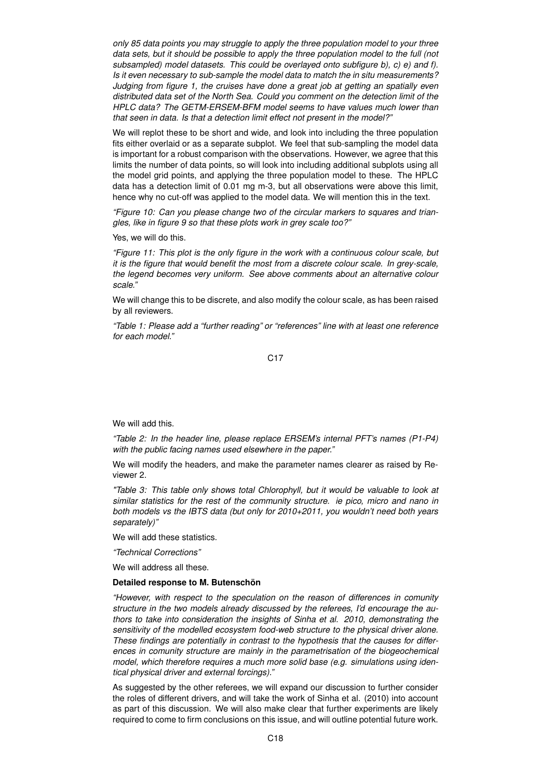*only 85 data points you may struggle to apply the three population model to your three data sets, but it should be possible to apply the three population model to the full (not subsampled) model datasets. This could be overlayed onto subfigure b), c) e) and f). Is it even necessary to sub-sample the model data to match the in situ measurements? Judging from figure 1, the cruises have done a great job at getting an spatially even distributed data set of the North Sea. Could you comment on the detection limit of the HPLC data? The GETM-ERSEM-BFM model seems to have values much lower than that seen in data. Is that a detection limit effect not present in the model?"*

We will replot these to be short and wide, and look into including the three population fits either overlaid or as a separate subplot. We feel that sub-sampling the model data is important for a robust comparison with the observations. However, we agree that this limits the number of data points, so will look into including additional subplots using all the model grid points, and applying the three population model to these. The HPLC data has a detection limit of 0.01 mg m-3, but all observations were above this limit, hence why no cut-off was applied to the model data. We will mention this in the text.

*"Figure 10: Can you please change two of the circular markers to squares and triangles, like in figure 9 so that these plots work in grey scale too?"*

Yes, we will do this.

*"Figure 11: This plot is the only figure in the work with a continuous colour scale, but it is the figure that would benefit the most from a discrete colour scale. In grey-scale, the legend becomes very uniform. See above comments about an alternative colour scale."*

We will change this to be discrete, and also modify the colour scale, as has been raised by all reviewers.

*"Table 1: Please add a "further reading" or "references" line with at least one reference for each model."*

C17

We will add this.

*"Table 2: In the header line, please replace ERSEM's internal PFT's names (P1-P4) with the public facing names used elsewhere in the paper."*

We will modify the headers, and make the parameter names clearer as raised by Reviewer 2.

*"Table 3: This table only shows total Chlorophyll, but it would be valuable to look at similar statistics for the rest of the community structure. ie pico, micro and nano in both models vs the IBTS data (but only for 2010+2011, you wouldn't need both years separately)"*

We will add these statistics.

*"Technical Corrections"*

We will address all these.

## **Detailed response to M. Butenschön**

*"However, with respect to the speculation on the reason of differences in comunity structure in the two models already discussed by the referees, I'd encourage the authors to take into consideration the insights of Sinha et al. 2010, demonstrating the sensitivity of the modelled ecosystem food-web structure to the physical driver alone. These findings are potentially in contrast to the hypothesis that the causes for differences in comunity structure are mainly in the parametrisation of the biogeochemical model, which therefore requires a much more solid base (e.g. simulations using identical physical driver and external forcings)."*

As suggested by the other referees, we will expand our discussion to further consider the roles of different drivers, and will take the work of Sinha et al. (2010) into account as part of this discussion. We will also make clear that further experiments are likely required to come to firm conclusions on this issue, and will outline potential future work.